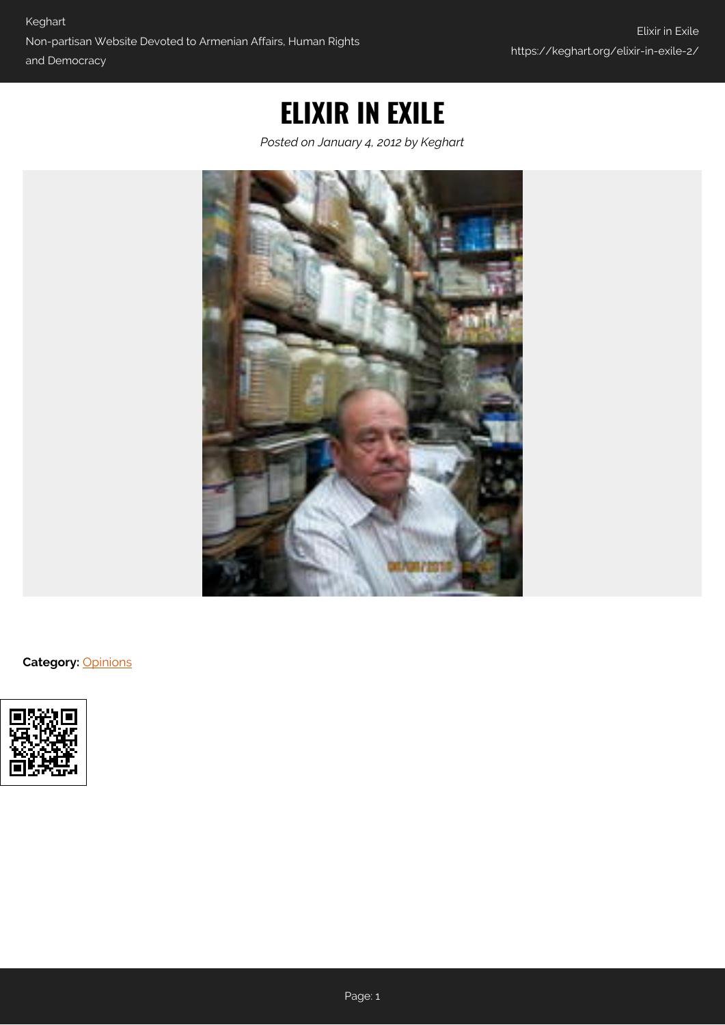# **ELIXIR IN EXILE**

*Posted on January 4, 2012 by Keghart*



**Category:** [Opinions](https://keghart.org/category/opinions/)

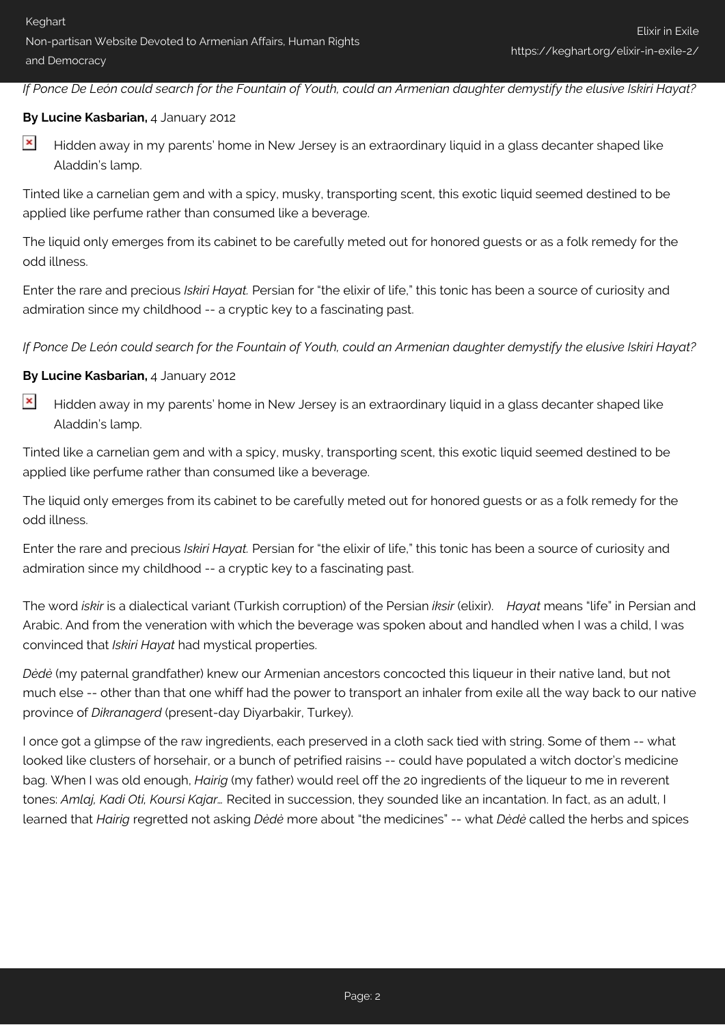*If Ponce De León could search for the Fountain of Youth, could an Armenian daughter demystify the elusive Iskiri Hayat?*

### **By Lucine Kasbarian, 4 January 2012**

 $\pmb{\times}$ Hidden away in my parents' home in New Jersey is an extraordinary liquid in a glass decanter shaped like Aladdin's lamp.

Tinted like a carnelian gem and with a spicy, musky, transporting scent, this exotic liquid seemed destined to be applied like perfume rather than consumed like a beverage.

The liquid only emerges from its cabinet to be carefully meted out for honored guests or as a folk remedy for the odd illness.

Enter the rare and precious *Iskiri Hayat.* Persian for "the elixir of life," this tonic has been a source of curiosity and admiration since my childhood -- a cryptic key to a fascinating past.

*If Ponce De León could search for the Fountain of Youth, could an Armenian daughter demystify the elusive Iskiri Hayat?*

## **By Lucine Kasbarian,** 4 January 2012

 $\pmb{\times}$ Hidden away in my parents' home in New Jersey is an extraordinary liquid in a glass decanter shaped like Aladdin's lamp.

Tinted like a carnelian gem and with a spicy, musky, transporting scent, this exotic liquid seemed destined to be applied like perfume rather than consumed like a beverage.

The liquid only emerges from its cabinet to be carefully meted out for honored guests or as a folk remedy for the odd illness.

Enter the rare and precious *Iskiri Hayat.* Persian for "the elixir of life," this tonic has been a source of curiosity and admiration since my childhood -- a cryptic key to a fascinating past.

The word *iskir* is a dialectical variant (Turkish corruption) of the Persian *iksir* (elixir). *Hayat* means "life" in Persian and Arabic. And from the veneration with which the beverage was spoken about and handled when I was a child, I was convinced that *Iskiri Hayat* had mystical properties.

*Dèdè* (my paternal grandfather) knew our Armenian ancestors concocted this liqueur in their native land, but not much else -- other than that one whiff had the power to transport an inhaler from exile all the way back to our native province of *Dikranagerd* (present-day Diyarbakir, Turkey).

I once got a glimpse of the raw ingredients, each preserved in a cloth sack tied with string. Some of them -- what looked like clusters of horsehair, or a bunch of petrified raisins -- could have populated a witch doctor's medicine bag. When I was old enough, *Hairig* (my father) would reel off the 20 ingredients of the liqueur to me in reverent tones: *Amlaj, Kadi Oti, Koursi Kajar…* Recited in succession, they sounded like an incantation. In fact, as an adult, I learned that *Hairig* regretted not asking *Dèdè* more about "the medicines" -- what *Dèdè* called the herbs and spices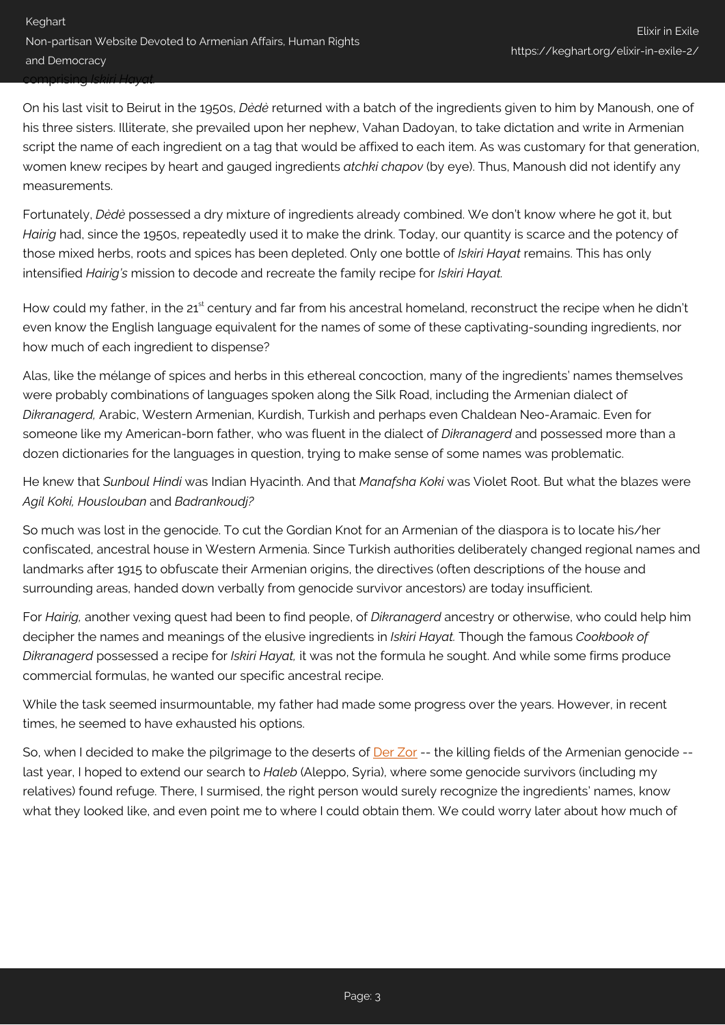On his last visit to Beirut in the 1950s, *Dèdè* returned with a batch of the ingredients given to him by Manoush, one of his three sisters. Illiterate, she prevailed upon her nephew, Vahan Dadoyan, to take dictation and write in Armenian script the name of each ingredient on a tag that would be affixed to each item. As was customary for that generation, women knew recipes by heart and gauged ingredients *atchki chapov* (by eye). Thus, Manoush did not identify any measurements.

Fortunately, *Dèdè* possessed a dry mixture of ingredients already combined. We don't know where he got it, but *Hairig* had, since the 1950s, repeatedly used it to make the drink. Today, our quantity is scarce and the potency of those mixed herbs, roots and spices has been depleted. Only one bottle of *Iskiri Hayat* remains. This has only intensified *Hairig's* mission to decode and recreate the family recipe for *Iskiri Hayat.*

How could my father, in the 21<sup>st</sup> century and far from his ancestral homeland, reconstruct the recipe when he didn't even know the English language equivalent for the names of some of these captivating-sounding ingredients, nor how much of each ingredient to dispense?

Alas, like the mélange of spices and herbs in this ethereal concoction, many of the ingredients' names themselves were probably combinations of languages spoken along the Silk Road, including the Armenian dialect of *Dikranagerd,* Arabic, Western Armenian, Kurdish, Turkish and perhaps even Chaldean Neo-Aramaic. Even for someone like my American-born father, who was fluent in the dialect of *Dikranagerd* and possessed more than a dozen dictionaries for the languages in question, trying to make sense of some names was problematic.

He knew that *Sunboul Hindi* was Indian Hyacinth. And that *Manafsha Koki* was Violet Root. But what the blazes were *Agil Koki, Houslouban* and *Badrankoudj?*

So much was lost in the genocide. To cut the Gordian Knot for an Armenian of the diaspora is to locate his/her confiscated, ancestral house in Western Armenia. Since Turkish authorities deliberately changed regional names and landmarks after 1915 to obfuscate their Armenian origins, the directives (often descriptions of the house and surrounding areas, handed down verbally from genocide survivor ancestors) are today insufficient.

For *Hairig,* another vexing quest had been to find people, of *Dikranagerd* ancestry or otherwise, who could help him decipher the names and meanings of the elusive ingredients in *Iskiri Hayat.* Though the famous *Cookbook of Dikranagerd* possessed a recipe for *Iskiri Hayat,* it was not the formula he sought. And while some firms produce commercial formulas, he wanted our specific ancestral recipe.

While the task seemed insurmountable, my father had made some progress over the years. However, in recent times, he seemed to have exhausted his options.

So, when I decided to make the pilgrimage to the deserts of [Der Zor](http://www.keghart.com/Kasbarian_Der_Zor) -- the killing fields of the Armenian genocide -last year, I hoped to extend our search to *Haleb* (Aleppo, Syria), where some genocide survivors (including my relatives) found refuge. There, I surmised, the right person would surely recognize the ingredients' names, know what they looked like, and even point me to where I could obtain them. We could worry later about how much of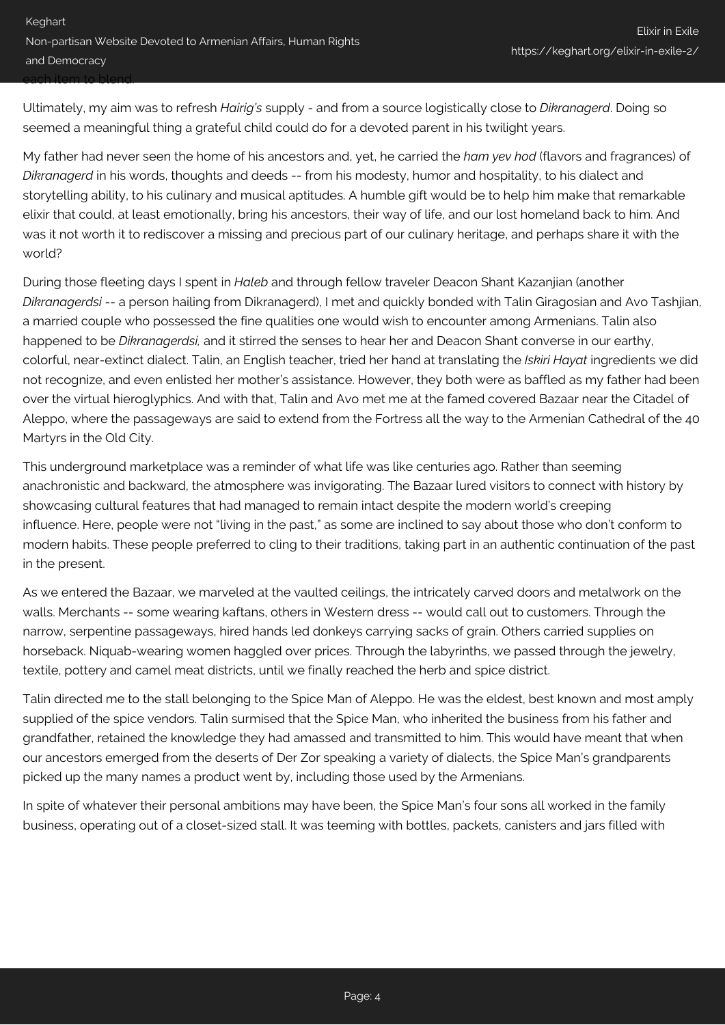Keghart Non-partisan Website Devoted to Armenian Affairs, Human Rights and Democracy each item to blend.

Ultimately, my aim was to refresh *Hairig's* supply - and from a source logistically close to *Dikranagerd*. Doing so seemed a meaningful thing a grateful child could do for a devoted parent in his twilight years.

My father had never seen the home of his ancestors and, yet, he carried the *ham yev hod* (flavors and fragrances) of *Dikranagerd* in his words, thoughts and deeds -- from his modesty, humor and hospitality, to his dialect and storytelling ability, to his culinary and musical aptitudes. A humble gift would be to help him make that remarkable elixir that could, at least emotionally, bring his ancestors, their way of life, and our lost homeland back to him. And was it not worth it to rediscover a missing and precious part of our culinary heritage, and perhaps share it with the world?

During those fleeting days I spent in *Haleb* and through fellow traveler Deacon Shant Kazanjian (another *Dikranagerdsi* -- a person hailing from Dikranagerd), I met and quickly bonded with Talin Giragosian and Avo Tashjian, a married couple who possessed the fine qualities one would wish to encounter among Armenians. Talin also happened to be *Dikranagerdsi,* and it stirred the senses to hear her and Deacon Shant converse in our earthy, colorful, near-extinct dialect. Talin, an English teacher, tried her hand at translating the *Iskiri Hayat* ingredients we did not recognize, and even enlisted her mother's assistance. However, they both were as baffled as my father had been over the virtual hieroglyphics. And with that, Talin and Avo met me at the famed covered Bazaar near the Citadel of Aleppo, where the passageways are said to extend from the Fortress all the way to the Armenian Cathedral of the 40 Martyrs in the Old City.

This underground marketplace was a reminder of what life was like centuries ago. Rather than seeming anachronistic and backward, the atmosphere was invigorating. The Bazaar lured visitors to connect with history by showcasing cultural features that had managed to remain intact despite the modern world's creeping influence. Here, people were not "living in the past," as some are inclined to say about those who don't conform to modern habits. These people preferred to cling to their traditions, taking part in an authentic continuation of the past in the present.

As we entered the Bazaar, we marveled at the vaulted ceilings, the intricately carved doors and metalwork on the walls. Merchants -- some wearing kaftans, others in Western dress -- would call out to customers. Through the narrow, serpentine passageways, hired hands led donkeys carrying sacks of grain. Others carried supplies on horseback. Niquab-wearing women haggled over prices. Through the labyrinths, we passed through the jewelry, textile, pottery and camel meat districts, until we finally reached the herb and spice district.

Talin directed me to the stall belonging to the Spice Man of Aleppo. He was the eldest, best known and most amply supplied of the spice vendors. Talin surmised that the Spice Man, who inherited the business from his father and grandfather, retained the knowledge they had amassed and transmitted to him. This would have meant that when our ancestors emerged from the deserts of Der Zor speaking a variety of dialects, the Spice Man's grandparents picked up the many names a product went by, including those used by the Armenians.

In spite of whatever their personal ambitions may have been, the Spice Man's four sons all worked in the family business, operating out of a closet-sized stall. It was teeming with bottles, packets, canisters and jars filled with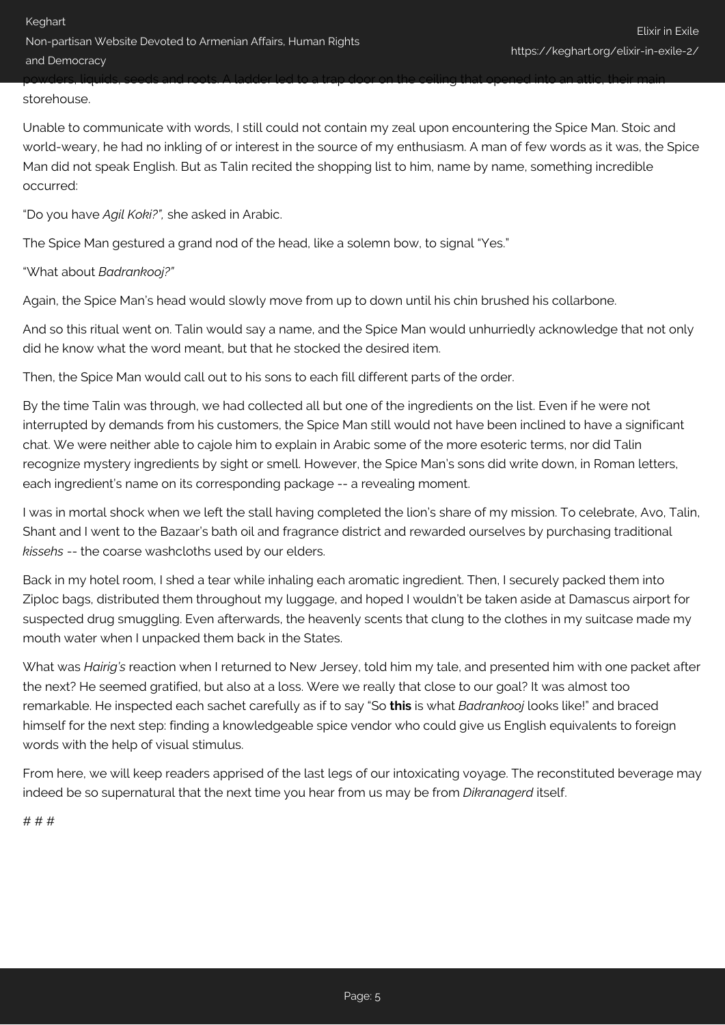#### storehouse.

Unable to communicate with words, I still could not contain my zeal upon encountering the Spice Man. Stoic and world-weary, he had no inkling of or interest in the source of my enthusiasm. A man of few words as it was, the Spice Man did not speak English. But as Talin recited the shopping list to him, name by name, something incredible occurred:

"Do you have *Agil Koki?",* she asked in Arabic.

The Spice Man gestured a grand nod of the head, like a solemn bow, to signal "Yes."

#### "What about *Badrankooj?"*

Again, the Spice Man's head would slowly move from up to down until his chin brushed his collarbone.

And so this ritual went on. Talin would say a name, and the Spice Man would unhurriedly acknowledge that not only did he know what the word meant, but that he stocked the desired item.

Then, the Spice Man would call out to his sons to each fill different parts of the order.

By the time Talin was through, we had collected all but one of the ingredients on the list. Even if he were not interrupted by demands from his customers, the Spice Man still would not have been inclined to have a significant chat. We were neither able to cajole him to explain in Arabic some of the more esoteric terms, nor did Talin recognize mystery ingredients by sight or smell. However, the Spice Man's sons did write down, in Roman letters, each ingredient's name on its corresponding package -- a revealing moment.

I was in mortal shock when we left the stall having completed the lion's share of my mission. To celebrate, Avo, Talin, Shant and I went to the Bazaar's bath oil and fragrance district and rewarded ourselves by purchasing traditional *kissehs* -- the coarse washcloths used by our elders.

Back in my hotel room, I shed a tear while inhaling each aromatic ingredient. Then, I securely packed them into Ziploc bags, distributed them throughout my luggage, and hoped I wouldn't be taken aside at Damascus airport for suspected drug smuggling. Even afterwards, the heavenly scents that clung to the clothes in my suitcase made my mouth water when I unpacked them back in the States.

What was *Hairig's* reaction when I returned to New Jersey, told him my tale, and presented him with one packet after the next? He seemed gratified, but also at a loss. Were we really that close to our goal? It was almost too remarkable. He inspected each sachet carefully as if to say "So **this** is what *Badrankooj* looks like!" and braced himself for the next step: finding a knowledgeable spice vendor who could give us English equivalents to foreign words with the help of visual stimulus.

From here, we will keep readers apprised of the last legs of our intoxicating voyage. The reconstituted beverage may indeed be so supernatural that the next time you hear from us may be from *Dikranagerd* itself.

# # #